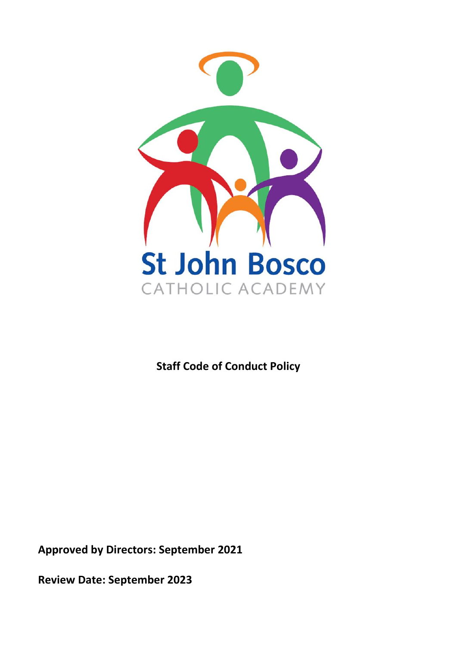

# **Staff Code of Conduct Policy**

**Approved by Directors: September 2021**

**Review Date: September 2023**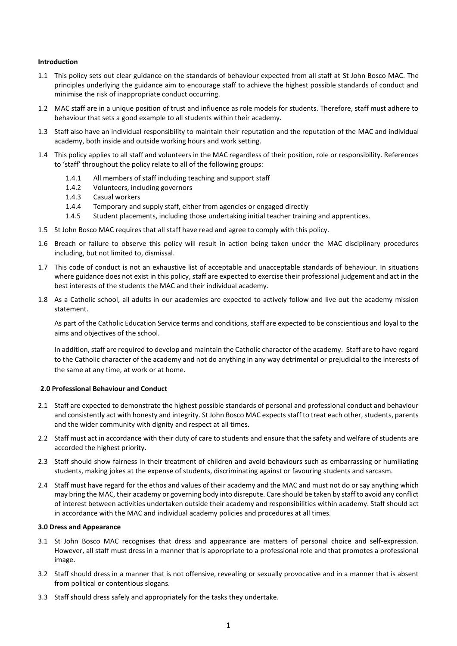# **Introduction**

- 1.1 This policy sets out clear guidance on the standards of behaviour expected from all staff at St John Bosco MAC. The principles underlying the guidance aim to encourage staff to achieve the highest possible standards of conduct and minimise the risk of inappropriate conduct occurring.
- 1.2 MAC staff are in a unique position of trust and influence as role models for students. Therefore, staff must adhere to behaviour that sets a good example to all students within their academy.
- 1.3 Staff also have an individual responsibility to maintain their reputation and the reputation of the MAC and individual academy, both inside and outside working hours and work setting.
- 1.4 This policy applies to all staff and volunteers in the MAC regardless of their position, role or responsibility. References to 'staff' throughout the policy relate to all of the following groups:
	- 1.4.1 All members of staff including teaching and support staff
	- 1.4.2 Volunteers, including governors
	- 1.4.3 Casual workers
	- 1.4.4 Temporary and supply staff, either from agencies or engaged directly
	- 1.4.5 Student placements, including those undertaking initial teacher training and apprentices.
- 1.5 St John Bosco MAC requires that all staff have read and agree to comply with this policy.
- 1.6 Breach or failure to observe this policy will result in action being taken under the MAC disciplinary procedures including, but not limited to, dismissal.
- 1.7 This code of conduct is not an exhaustive list of acceptable and unacceptable standards of behaviour. In situations where guidance does not exist in this policy, staff are expected to exercise their professional judgement and act in the best interests of the students the MAC and their individual academy.
- 1.8 As a Catholic school, all adults in our academies are expected to actively follow and live out the academy mission statement.

As part of the Catholic Education Service terms and conditions, staff are expected to be conscientious and loyal to the aims and objectives of the school.

In addition, staff are required to develop and maintain the Catholic character of the academy. Staff are to have regard to the Catholic character of the academy and not do anything in any way detrimental or prejudicial to the interests of the same at any time, at work or at home.

#### **2.0 Professional Behaviour and Conduct**

- 2.1 Staff are expected to demonstrate the highest possible standards of personal and professional conduct and behaviour and consistently act with honesty and integrity. St John Bosco MAC expects staff to treat each other, students, parents and the wider community with dignity and respect at all times.
- 2.2 Staff must act in accordance with their duty of care to students and ensure that the safety and welfare of students are accorded the highest priority.
- 2.3 Staff should show fairness in their treatment of children and avoid behaviours such as embarrassing or humiliating students, making jokes at the expense of students, discriminating against or favouring students and sarcasm.
- 2.4 Staff must have regard for the ethos and values of their academy and the MAC and must not do or say anything which may bring the MAC, their academy or governing body into disrepute. Care should be taken by staff to avoid any conflict of interest between activities undertaken outside their academy and responsibilities within academy. Staff should act in accordance with the MAC and individual academy policies and procedures at all times.

#### **3.0 Dress and Appearance**

- 3.1 St John Bosco MAC recognises that dress and appearance are matters of personal choice and self-expression. However, all staff must dress in a manner that is appropriate to a professional role and that promotes a professional image.
- 3.2 Staff should dress in a manner that is not offensive, revealing or sexually provocative and in a manner that is absent from political or contentious slogans.
- 3.3 Staff should dress safely and appropriately for the tasks they undertake.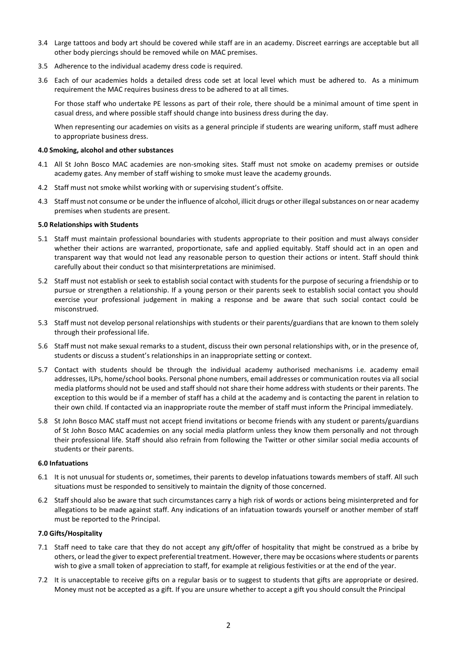- 3.4 Large tattoos and body art should be covered while staff are in an academy. Discreet earrings are acceptable but all other body piercings should be removed while on MAC premises.
- 3.5 Adherence to the individual academy dress code is required.
- 3.6 Each of our academies holds a detailed dress code set at local level which must be adhered to. As a minimum requirement the MAC requires business dress to be adhered to at all times.

For those staff who undertake PE lessons as part of their role, there should be a minimal amount of time spent in casual dress, and where possible staff should change into business dress during the day.

When representing our academies on visits as a general principle if students are wearing uniform, staff must adhere to appropriate business dress.

## **4.0 Smoking, alcohol and other substances**

- 4.1 All St John Bosco MAC academies are non-smoking sites. Staff must not smoke on academy premises or outside academy gates. Any member of staff wishing to smoke must leave the academy grounds.
- 4.2 Staff must not smoke whilst working with or supervising student's offsite.
- 4.3 Staff must not consume or be under the influence of alcohol, illicit drugs or other illegal substances on or near academy premises when students are present.

## **5.0 Relationships with Students**

- 5.1 Staff must maintain professional boundaries with students appropriate to their position and must always consider whether their actions are warranted, proportionate, safe and applied equitably. Staff should act in an open and transparent way that would not lead any reasonable person to question their actions or intent. Staff should think carefully about their conduct so that misinterpretations are minimised.
- 5.2 Staff must not establish or seek to establish social contact with students for the purpose of securing a friendship or to pursue or strengthen a relationship. If a young person or their parents seek to establish social contact you should exercise your professional judgement in making a response and be aware that such social contact could be misconstrued.
- 5.3 Staff must not develop personal relationships with students or their parents/guardians that are known to them solely through their professional life.
- 5.6 Staff must not make sexual remarks to a student, discuss their own personal relationships with, or in the presence of, students or discuss a student's relationships in an inappropriate setting or context.
- 5.7 Contact with students should be through the individual academy authorised mechanisms i.e. academy email addresses, ILPs, home/school books. Personal phone numbers, email addresses or communication routes via all social media platforms should not be used and staff should not share their home address with students or their parents. The exception to this would be if a member of staff has a child at the academy and is contacting the parent in relation to their own child. If contacted via an inappropriate route the member of staff must inform the Principal immediately.
- 5.8 St John Bosco MAC staff must not accept friend invitations or become friends with any student or parents/guardians of St John Bosco MAC academies on any social media platform unless they know them personally and not through their professional life. Staff should also refrain from following the Twitter or other similar social media accounts of students or their parents.

#### **6.0 Infatuations**

- 6.1 It is not unusual for students or, sometimes, their parents to develop infatuations towards members of staff. All such situations must be responded to sensitively to maintain the dignity of those concerned.
- 6.2 Staff should also be aware that such circumstances carry a high risk of words or actions being misinterpreted and for allegations to be made against staff. Any indications of an infatuation towards yourself or another member of staff must be reported to the Principal.

# **7.0 Gifts/Hospitality**

- 7.1 Staff need to take care that they do not accept any gift/offer of hospitality that might be construed as a bribe by others, or lead the giver to expect preferential treatment. However, there may be occasions where students or parents wish to give a small token of appreciation to staff, for example at religious festivities or at the end of the year.
- 7.2 It is unacceptable to receive gifts on a regular basis or to suggest to students that gifts are appropriate or desired. Money must not be accepted as a gift. If you are unsure whether to accept a gift you should consult the Principal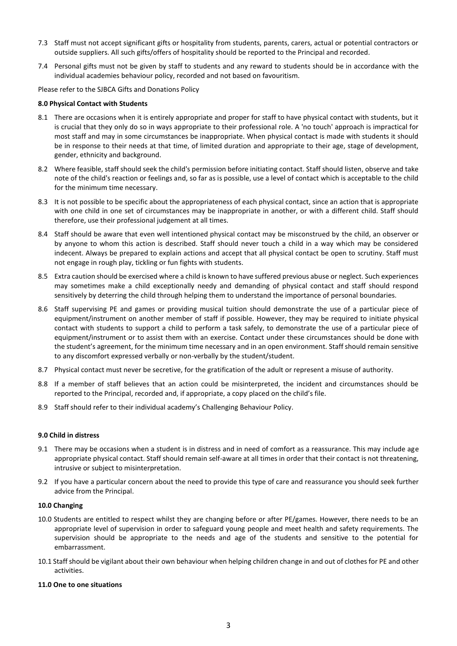- 7.3 Staff must not accept significant gifts or hospitality from students, parents, carers, actual or potential contractors or outside suppliers. All such gifts/offers of hospitality should be reported to the Principal and recorded.
- 7.4 Personal gifts must not be given by staff to students and any reward to students should be in accordance with the individual academies behaviour policy, recorded and not based on favouritism.

Please refer to the SJBCA Gifts and Donations Policy

## **8.0 Physical Contact with Students**

- 8.1 There are occasions when it is entirely appropriate and proper for staff to have physical contact with students, but it is crucial that they only do so in ways appropriate to their professional role. A 'no touch' approach is impractical for most staff and may in some circumstances be inappropriate. When physical contact is made with students it should be in response to their needs at that time, of limited duration and appropriate to their age, stage of development, gender, ethnicity and background.
- 8.2 Where feasible, staff should seek the child's permission before initiating contact. Staff should listen, observe and take note of the child's reaction or feelings and, so far as is possible, use a level of contact which is acceptable to the child for the minimum time necessary.
- 8.3 It is not possible to be specific about the appropriateness of each physical contact, since an action that is appropriate with one child in one set of circumstances may be inappropriate in another, or with a different child. Staff should therefore, use their professional judgement at all times.
- 8.4 Staff should be aware that even well intentioned physical contact may be misconstrued by the child, an observer or by anyone to whom this action is described. Staff should never touch a child in a way which may be considered indecent. Always be prepared to explain actions and accept that all physical contact be open to scrutiny. Staff must not engage in rough play, tickling or fun fights with students.
- 8.5 Extra caution should be exercised where a child is known to have suffered previous abuse or neglect. Such experiences may sometimes make a child exceptionally needy and demanding of physical contact and staff should respond sensitively by deterring the child through helping them to understand the importance of personal boundaries.
- 8.6 Staff supervising PE and games or providing musical tuition should demonstrate the use of a particular piece of equipment/instrument on another member of staff if possible. However, they may be required to initiate physical contact with students to support a child to perform a task safely, to demonstrate the use of a particular piece of equipment/instrument or to assist them with an exercise. Contact under these circumstances should be done with the student's agreement, for the minimum time necessary and in an open environment. Staff should remain sensitive to any discomfort expressed verbally or non-verbally by the student/student.
- 8.7 Physical contact must never be secretive, for the gratification of the adult or represent a misuse of authority.
- 8.8 If a member of staff believes that an action could be misinterpreted, the incident and circumstances should be reported to the Principal, recorded and, if appropriate, a copy placed on the child's file.
- 8.9 Staff should refer to their individual academy's Challenging Behaviour Policy.

## **9.0 Child in distress**

- 9.1 There may be occasions when a student is in distress and in need of comfort as a reassurance. This may include age appropriate physical contact. Staff should remain self-aware at all times in order that their contact is not threatening, intrusive or subject to misinterpretation.
- 9.2 If you have a particular concern about the need to provide this type of care and reassurance you should seek further advice from the Principal.

#### **10.0 Changing**

- 10.0 Students are entitled to respect whilst they are changing before or after PE/games. However, there needs to be an appropriate level of supervision in order to safeguard young people and meet health and safety requirements. The supervision should be appropriate to the needs and age of the students and sensitive to the potential for embarrassment.
- 10.1 Staff should be vigilant about their own behaviour when helping children change in and out of clothes for PE and other activities.

# **11.0 One to one situations**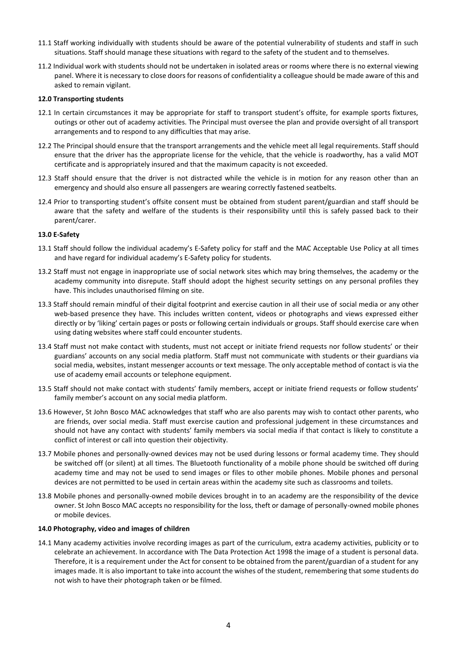- 11.1 Staff working individually with students should be aware of the potential vulnerability of students and staff in such situations. Staff should manage these situations with regard to the safety of the student and to themselves.
- 11.2 Individual work with students should not be undertaken in isolated areas or rooms where there is no external viewing panel. Where it is necessary to close doors for reasons of confidentiality a colleague should be made aware of this and asked to remain vigilant.

#### **12.0 Transporting students**

- 12.1 In certain circumstances it may be appropriate for staff to transport student's offsite, for example sports fixtures, outings or other out of academy activities. The Principal must oversee the plan and provide oversight of all transport arrangements and to respond to any difficulties that may arise.
- 12.2 The Principal should ensure that the transport arrangements and the vehicle meet all legal requirements. Staff should ensure that the driver has the appropriate license for the vehicle, that the vehicle is roadworthy, has a valid MOT certificate and is appropriately insured and that the maximum capacity is not exceeded.
- 12.3 Staff should ensure that the driver is not distracted while the vehicle is in motion for any reason other than an emergency and should also ensure all passengers are wearing correctly fastened seatbelts.
- 12.4 Prior to transporting student's offsite consent must be obtained from student parent/guardian and staff should be aware that the safety and welfare of the students is their responsibility until this is safely passed back to their parent/carer.

## **13.0 E-Safety**

- 13.1 Staff should follow the individual academy's E-Safety policy for staff and the MAC Acceptable Use Policy at all times and have regard for individual academy's E-Safety policy for students.
- 13.2 Staff must not engage in inappropriate use of social network sites which may bring themselves, the academy or the academy community into disrepute. Staff should adopt the highest security settings on any personal profiles they have. This includes unauthorised filming on site.
- 13.3 Staff should remain mindful of their digital footprint and exercise caution in all their use of social media or any other web-based presence they have. This includes written content, videos or photographs and views expressed either directly or by 'liking' certain pages or posts or following certain individuals or groups. Staff should exercise care when using dating websites where staff could encounter students.
- 13.4 Staff must not make contact with students, must not accept or initiate friend requests nor follow students' or their guardians' accounts on any social media platform. Staff must not communicate with students or their guardians via social media, websites, instant messenger accounts or text message. The only acceptable method of contact is via the use of academy email accounts or telephone equipment.
- 13.5 Staff should not make contact with students' family members, accept or initiate friend requests or follow students' family member's account on any social media platform.
- 13.6 However, St John Bosco MAC acknowledges that staff who are also parents may wish to contact other parents, who are friends, over social media. Staff must exercise caution and professional judgement in these circumstances and should not have any contact with students' family members via social media if that contact is likely to constitute a conflict of interest or call into question their objectivity.
- 13.7 Mobile phones and personally-owned devices may not be used during lessons or formal academy time. They should be switched off (or silent) at all times. The Bluetooth functionality of a mobile phone should be switched off during academy time and may not be used to send images or files to other mobile phones. Mobile phones and personal devices are not permitted to be used in certain areas within the academy site such as classrooms and toilets.
- 13.8 Mobile phones and personally-owned mobile devices brought in to an academy are the responsibility of the device owner. St John Bosco MAC accepts no responsibility for the loss, theft or damage of personally-owned mobile phones or mobile devices.

#### **14.0 Photography, video and images of children**

14.1 Many academy activities involve recording images as part of the curriculum, extra academy activities, publicity or to celebrate an achievement. In accordance with The Data Protection Act 1998 the image of a student is personal data. Therefore, it is a requirement under the Act for consent to be obtained from the parent/guardian of a student for any images made. It is also important to take into account the wishes of the student, remembering that some students do not wish to have their photograph taken or be filmed.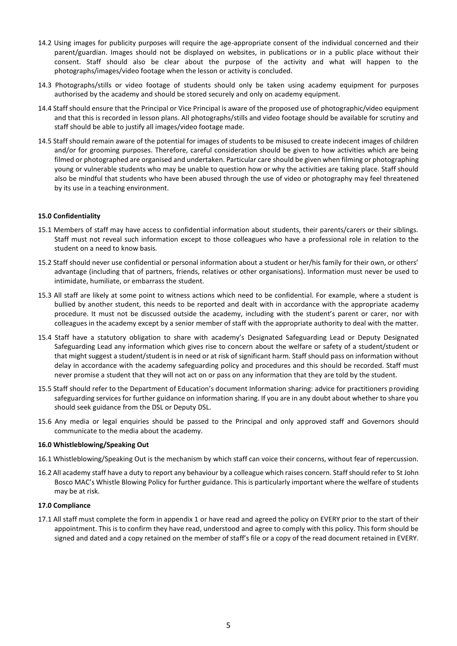- 14.2 Using images for publicity purposes will require the age-appropriate consent of the individual concerned and their parent/guardian. Images should not be displayed on websites, in publications or in a public place without their consent. Staff should also be clear about the purpose of the activity and what will happen to the photographs/images/video footage when the lesson or activity is concluded.
- 14.3 Photographs/stills or video footage of students should only be taken using academy equipment for purposes authorised by the academy and should be stored securely and only on academy equipment.
- 14.4 Staff should ensure that the Principal or Vice Principal is aware of the proposed use of photographic/video equipment and that this is recorded in lesson plans. All photographs/stills and video footage should be available for scrutiny and staff should be able to justify all images/video footage made.
- 14.5 Staff should remain aware of the potential for images of students to be misused to create indecent images of children and/or for grooming purposes. Therefore, careful consideration should be given to how activities which are being filmed or photographed are organised and undertaken. Particular care should be given when filming or photographing young or vulnerable students who may be unable to question how or why the activities are taking place. Staff should also be mindful that students who have been abused through the use of video or photography may feel threatened by its use in a teaching environment.

# **15.0 Confidentiality**

- 15.1 Members of staff may have access to confidential information about students, their parents/carers or their siblings. Staff must not reveal such information except to those colleagues who have a professional role in relation to the student on a need to know basis.
- 15.2 Staff should never use confidential or personal information about a student or her/his family for their own, or others' advantage (including that of partners, friends, relatives or other organisations). Information must never be used to intimidate, humiliate, or embarrass the student.
- 15.3 All staff are likely at some point to witness actions which need to be confidential. For example, where a student is bullied by another student, this needs to be reported and dealt with in accordance with the appropriate academy procedure. It must not be discussed outside the academy, including with the student's parent or carer, nor with colleagues in the academy except by a senior member of staff with the appropriate authority to deal with the matter.
- 15.4 Staff have a statutory obligation to share with academy's Designated Safeguarding Lead or Deputy Designated Safeguarding Lead any information which gives rise to concern about the welfare or safety of a student/student or that might suggest a student/student is in need or at risk of significant harm. Staff should pass on information without delay in accordance with the academy safeguarding policy and procedures and this should be recorded. Staff must never promise a student that they will not act on or pass on any information that they are told by the student.
- 15.5 Staff should refer to the Department of Education's document Information sharing: advice for practitioners providing safeguarding services for further guidance on information sharing. If you are in any doubt about whether to share you should seek guidance from the DSL or Deputy DSL.
- 15.6 Any media or legal enquiries should be passed to the Principal and only approved staff and Governors should communicate to the media about the academy.

#### **16.0 Whistleblowing/Speaking Out**

- 16.1 Whistleblowing/Speaking Out is the mechanism by which staff can voice their concerns, without fear of repercussion.
- 16.2 All academy staff have a duty to report any behaviour by a colleague which raises concern. Staff should refer to St John Bosco MAC's Whistle Blowing Policy for further guidance. This is particularly important where the welfare of students may be at risk.

#### **17.0 Compliance**

17.1 All staff must complete the form in appendix 1 or have read and agreed the policy on EVERY prior to the start of their appointment. This is to confirm they have read, understood and agree to comply with this policy. This form should be signed and dated and a copy retained on the member of staff's file or a copy of the read document retained in EVERY.